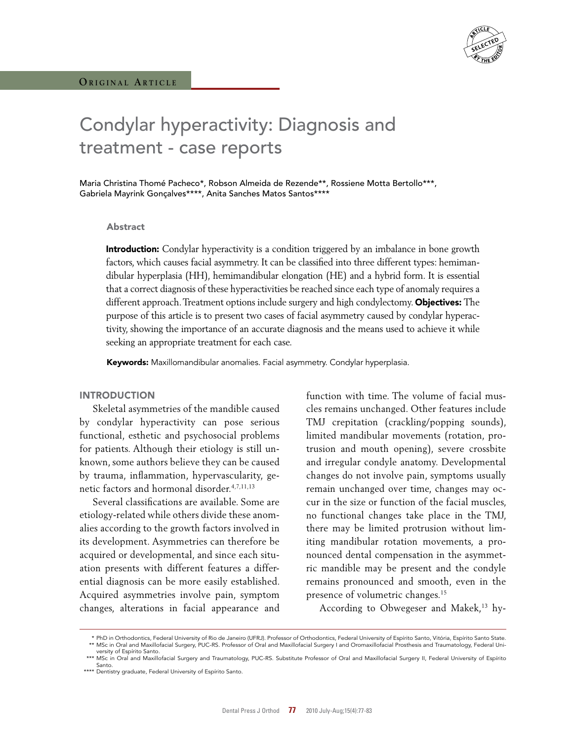# Condylar hyperactivity: Diagnosis and treatment - case reports

Maria Christina Thomé Pacheco\*, Robson Almeida de Rezende\*\*, Rossiene Motta Bertollo\*\*\*, Gabriela Mayrink Gonçalves\*\*\*\*, Anita Sanches Matos Santos\*\*\*\*

#### Abstract

**Introduction:** Condylar hyperactivity is a condition triggered by an imbalance in bone growth factors, which causes facial asymmetry. It can be classified into three different types: hemimandibular hyperplasia (HH), hemimandibular elongation (HE) and a hybrid form. It is essential that a correct diagnosis of these hyperactivities be reached since each type of anomaly requires a different approach. Treatment options include surgery and high condylectomy. Objectives: The purpose of this article is to present two cases of facial asymmetry caused by condylar hyperactivity, showing the importance of an accurate diagnosis and the means used to achieve it while seeking an appropriate treatment for each case.

Keywords: Maxillomandibular anomalies. Facial asymmetry. Condylar hyperplasia.

#### **INTRODUCTION**

Skeletal asymmetries of the mandible caused by condylar hyperactivity can pose serious functional, esthetic and psychosocial problems for patients. Although their etiology is still unknown, some authors believe they can be caused by trauma, inflammation, hypervascularity, genetic factors and hormonal disorder.4,7,11,13

Several classifications are available. Some are etiology-related while others divide these anomalies according to the growth factors involved in its development. Asymmetries can therefore be acquired or developmental, and since each situation presents with different features a differential diagnosis can be more easily established. Acquired asymmetries involve pain, symptom changes, alterations in facial appearance and function with time. The volume of facial muscles remains unchanged. Other features include TMJ crepitation (crackling/popping sounds), limited mandibular movements (rotation, protrusion and mouth opening), severe crossbite and irregular condyle anatomy. Developmental changes do not involve pain, symptoms usually remain unchanged over time, changes may occur in the size or function of the facial muscles, no functional changes take place in the TMJ, there may be limited protrusion without limiting mandibular rotation movements, a pronounced dental compensation in the asymmetric mandible may be present and the condyle remains pronounced and smooth, even in the presence of volumetric changes.15

According to Obwegeser and Makek,<sup>13</sup> hy-

<sup>\*</sup> PhD in Orthodontics, Federal University of Rio de Janeiro (UFRJ). Professor of Orthodontics, Federal University of Espírito Santo, Vitória, Espírito Santo State.<br>\*\* MSc in Oral and Maxillofacial Surgery, PUC-RS. Professo versity of Espírito Santo.

<sup>\*\*\*</sup> MSc in Oral and Maxillofacial Surgery and Traumatology, PUC-RS. Substitute Professor of Oral and Maxillofacial Surgery II, Federal University of Espírito Santo.

<sup>\*\*\*\*</sup> Dentistry graduate, Federal University of Espírito Santo.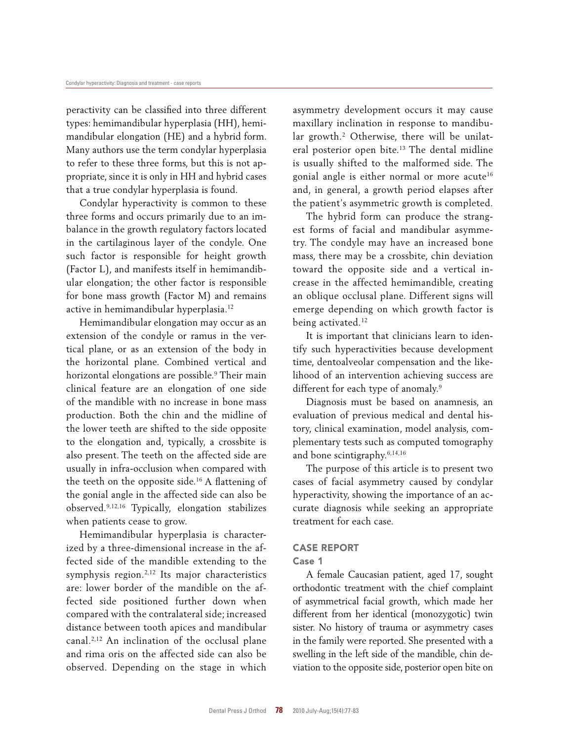peractivity can be classified into three different types: hemimandibular hyperplasia (HH), hemimandibular elongation (HE) and a hybrid form. Many authors use the term condylar hyperplasia to refer to these three forms, but this is not appropriate, since it is only in HH and hybrid cases that a true condylar hyperplasia is found.

Condylar hyperactivity is common to these three forms and occurs primarily due to an imbalance in the growth regulatory factors located in the cartilaginous layer of the condyle. One such factor is responsible for height growth (Factor L), and manifests itself in hemimandibular elongation; the other factor is responsible for bone mass growth (Factor M) and remains active in hemimandibular hyperplasia.12

Hemimandibular elongation may occur as an extension of the condyle or ramus in the vertical plane, or as an extension of the body in the horizontal plane. Combined vertical and horizontal elongations are possible.<sup>9</sup> Their main clinical feature are an elongation of one side of the mandible with no increase in bone mass production. Both the chin and the midline of the lower teeth are shifted to the side opposite to the elongation and, typically, a crossbite is also present. The teeth on the affected side are usually in infra-occlusion when compared with the teeth on the opposite side.<sup>16</sup> A flattening of the gonial angle in the affected side can also be observed.9,12,16 Typically, elongation stabilizes when patients cease to grow.

Hemimandibular hyperplasia is characterized by a three-dimensional increase in the affected side of the mandible extending to the symphysis region.2,12 Its major characteristics are: lower border of the mandible on the affected side positioned further down when compared with the contralateral side; increased distance between tooth apices and mandibular canal.2,12 An inclination of the occlusal plane and rima oris on the affected side can also be observed. Depending on the stage in which asymmetry development occurs it may cause maxillary inclination in response to mandibular growth.<sup>2</sup> Otherwise, there will be unilateral posterior open bite.13 The dental midline is usually shifted to the malformed side. The gonial angle is either normal or more acute<sup>16</sup> and, in general, a growth period elapses after the patient's asymmetric growth is completed.

The hybrid form can produce the strangest forms of facial and mandibular asymmetry. The condyle may have an increased bone mass, there may be a crossbite, chin deviation toward the opposite side and a vertical increase in the affected hemimandible, creating an oblique occlusal plane. Different signs will emerge depending on which growth factor is being activated.<sup>12</sup>

It is important that clinicians learn to identify such hyperactivities because development time, dentoalveolar compensation and the likelihood of an intervention achieving success are different for each type of anomaly.<sup>9</sup>

Diagnosis must be based on anamnesis, an evaluation of previous medical and dental history, clinical examination, model analysis, complementary tests such as computed tomography and bone scintigraphy.6,14,16

The purpose of this article is to present two cases of facial asymmetry caused by condylar hyperactivity, showing the importance of an accurate diagnosis while seeking an appropriate treatment for each case.

### CASE REPORT

#### Case 1

A female Caucasian patient, aged 17, sought orthodontic treatment with the chief complaint of asymmetrical facial growth, which made her different from her identical (monozygotic) twin sister. No history of trauma or asymmetry cases in the family were reported. She presented with a swelling in the left side of the mandible, chin deviation to the opposite side, posterior open bite on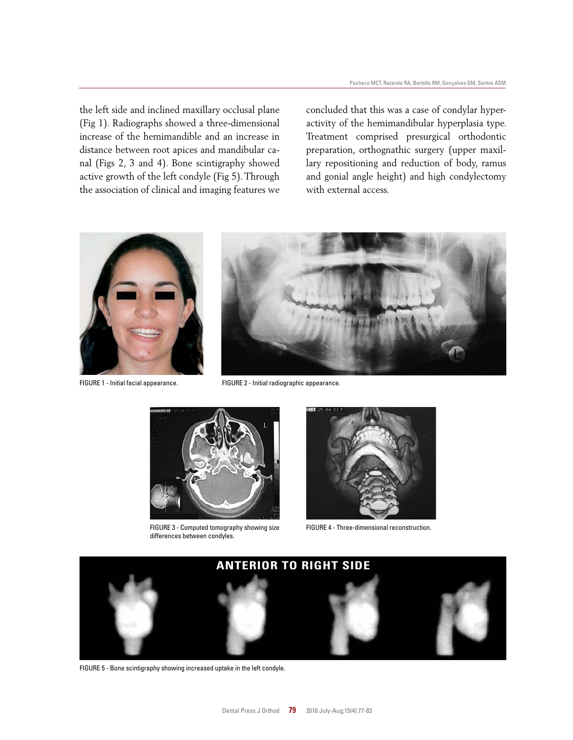the left side and inclined maxillary occlusal plane (Fig 1). Radiographs showed a three-dimensional increase of the hemimandible and an increase in distance between root apices and mandibular canal (Figs 2, 3 and 4). Bone scintigraphy showed active growth of the left condyle (Fig 5). Through the association of clinical and imaging features we concluded that this was a case of condylar hyperactivity of the hemimandibular hyperplasia type. Treatment comprised presurgical orthodontic preparation, orthognathic surgery (upper maxillary repositioning and reduction of body, ramus and gonial angle height) and high condylectomy with external access.



FIGURE 1 - Initial facial appearance.



FIGURE 2 - Initial radiographic appearance.



FIGURE 3 - Computed tomography showing size differences between condyles.



FIGURE 4 - Three-dimensional reconstruction.



FIGURE 5 - Bone scintigraphy showing increased uptake in the left condyle.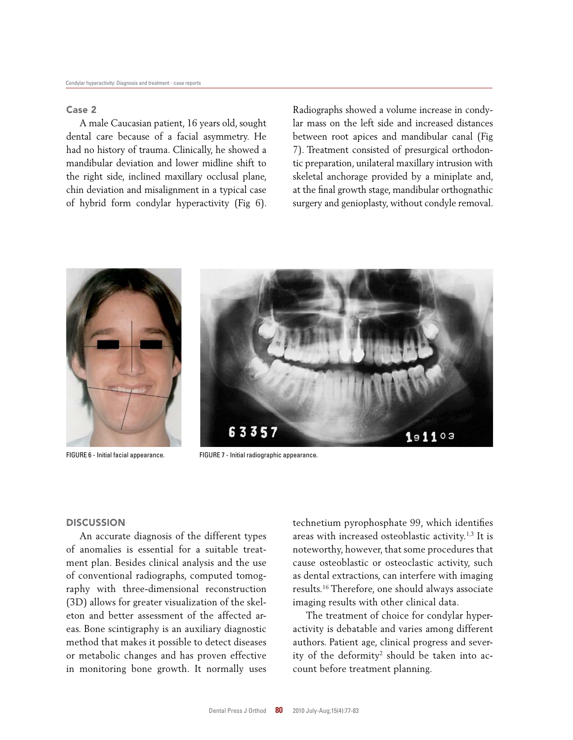## Case 2

A male Caucasian patient, 16 years old, sought dental care because of a facial asymmetry. He had no history of trauma. Clinically, he showed a mandibular deviation and lower midline shift to the right side, inclined maxillary occlusal plane, chin deviation and misalignment in a typical case of hybrid form condylar hyperactivity (Fig 6). Radiographs showed a volume increase in condylar mass on the left side and increased distances between root apices and mandibular canal (Fig 7). Treatment consisted of presurgical orthodontic preparation, unilateral maxillary intrusion with skeletal anchorage provided by a miniplate and, at the final growth stage, mandibular orthognathic surgery and genioplasty, without condyle removal.





FIGURE 6 - Initial facial appearance. FIGURE 7 - Initial radiographic appearance.

#### **DISCUSSION**

An accurate diagnosis of the different types of anomalies is essential for a suitable treatment plan. Besides clinical analysis and the use of conventional radiographs, computed tomography with three-dimensional reconstruction (3D) allows for greater visualization of the skeleton and better assessment of the affected areas. Bone scintigraphy is an auxiliary diagnostic method that makes it possible to detect diseases or metabolic changes and has proven effective in monitoring bone growth. It normally uses technetium pyrophosphate 99, which identifies areas with increased osteoblastic activity.1,3 It is noteworthy, however, that some procedures that cause osteoblastic or osteoclastic activity, such as dental extractions, can interfere with imaging results.16 Therefore, one should always associate imaging results with other clinical data.

The treatment of choice for condylar hyperactivity is debatable and varies among different authors. Patient age, clinical progress and severity of the deformity<sup>2</sup> should be taken into account before treatment planning.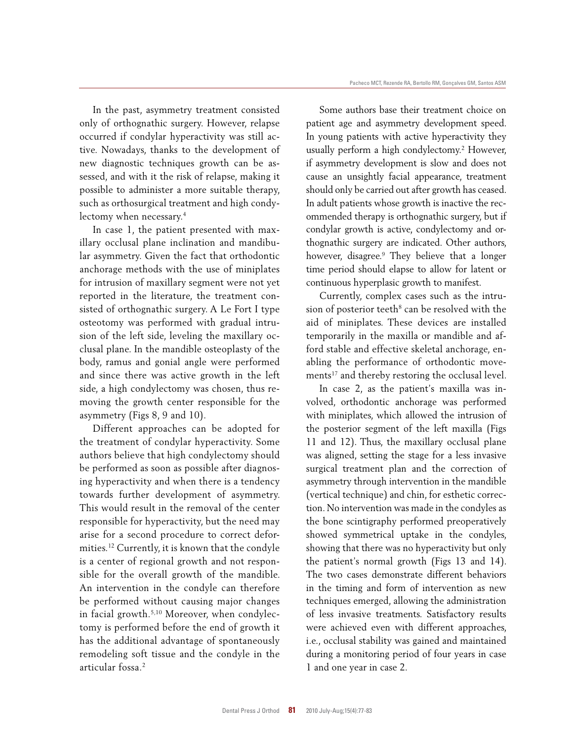In the past, asymmetry treatment consisted only of orthognathic surgery. However, relapse occurred if condylar hyperactivity was still active. Nowadays, thanks to the development of new diagnostic techniques growth can be assessed, and with it the risk of relapse, making it possible to administer a more suitable therapy, such as orthosurgical treatment and high condylectomy when necessary.4

In case 1, the patient presented with maxillary occlusal plane inclination and mandibular asymmetry. Given the fact that orthodontic anchorage methods with the use of miniplates for intrusion of maxillary segment were not yet reported in the literature, the treatment consisted of orthognathic surgery. A Le Fort I type osteotomy was performed with gradual intrusion of the left side, leveling the maxillary occlusal plane. In the mandible osteoplasty of the body, ramus and gonial angle were performed and since there was active growth in the left side, a high condylectomy was chosen, thus removing the growth center responsible for the asymmetry (Figs 8, 9 and 10).

Different approaches can be adopted for the treatment of condylar hyperactivity. Some authors believe that high condylectomy should be performed as soon as possible after diagnosing hyperactivity and when there is a tendency towards further development of asymmetry. This would result in the removal of the center responsible for hyperactivity, but the need may arise for a second procedure to correct deformities.12 Currently, it is known that the condyle is a center of regional growth and not responsible for the overall growth of the mandible. An intervention in the condyle can therefore be performed without causing major changes in facial growth.5,10 Moreover, when condylectomy is performed before the end of growth it has the additional advantage of spontaneously remodeling soft tissue and the condyle in the articular fossa.2

Some authors base their treatment choice on patient age and asymmetry development speed. In young patients with active hyperactivity they usually perform a high condylectomy.2 However, if asymmetry development is slow and does not cause an unsightly facial appearance, treatment should only be carried out after growth has ceased. In adult patients whose growth is inactive the recommended therapy is orthognathic surgery, but if condylar growth is active, condylectomy and orthognathic surgery are indicated. Other authors, however, disagree.9 They believe that a longer time period should elapse to allow for latent or continuous hyperplasic growth to manifest.

Currently, complex cases such as the intrusion of posterior teeth<sup>8</sup> can be resolved with the aid of miniplates. These devices are installed temporarily in the maxilla or mandible and afford stable and effective skeletal anchorage, enabling the performance of orthodontic movements<sup>17</sup> and thereby restoring the occlusal level.

In case 2, as the patient's maxilla was involved, orthodontic anchorage was performed with miniplates, which allowed the intrusion of the posterior segment of the left maxilla (Figs 11 and 12). Thus, the maxillary occlusal plane was aligned, setting the stage for a less invasive surgical treatment plan and the correction of asymmetry through intervention in the mandible (vertical technique) and chin, for esthetic correction. No intervention was made in the condyles as the bone scintigraphy performed preoperatively showed symmetrical uptake in the condyles, showing that there was no hyperactivity but only the patient's normal growth (Figs 13 and 14). The two cases demonstrate different behaviors in the timing and form of intervention as new techniques emerged, allowing the administration of less invasive treatments. Satisfactory results were achieved even with different approaches, i.e., occlusal stability was gained and maintained during a monitoring period of four years in case 1 and one year in case 2.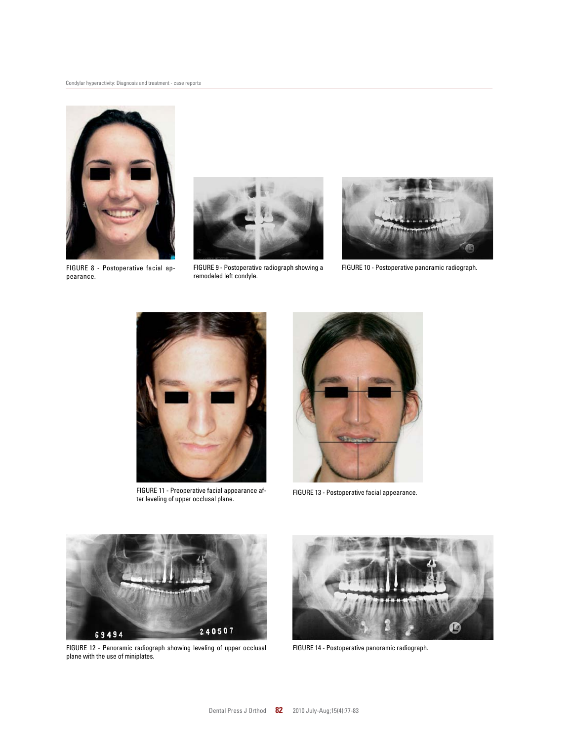

pearance.



remodeled left condyle.



FIGURE 9 - Postoperative radiograph showing a FIGURE 10 - Postoperative panoramic radiograph.



FIGURE 11 - Preoperative facial appearance after leveling of upper occlusal plane.



FIGURE 13 - Postoperative facial appearance.



FIGURE 12 - Panoramic radiograph showing leveling of upper occlusal plane with the use of miniplates.



FIGURE 14 - Postoperative panoramic radiograph.